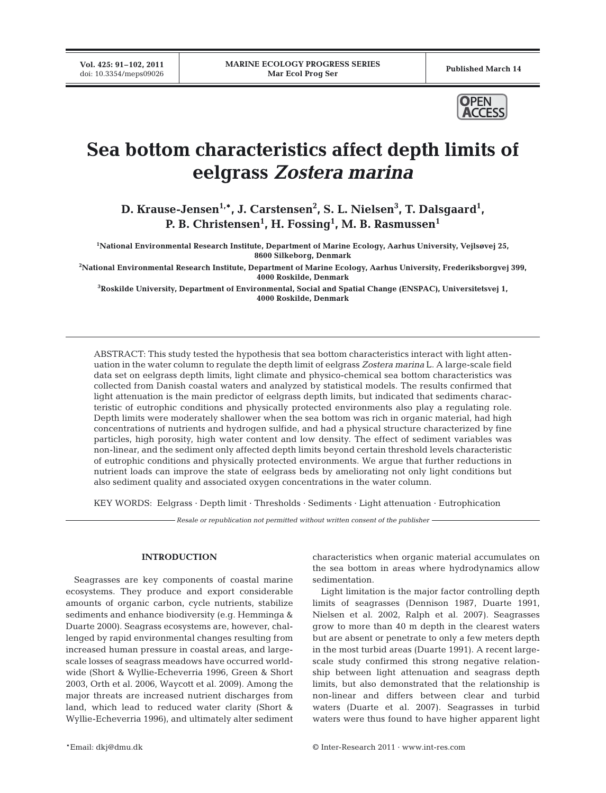**Vol. 425: 91–102, 2011**



# **Sea bottom characteristics affect depth limits of eelgrass** *Zostera marina*

D. Krause-Jensen<sup>1,\*</sup>, J. Carstensen<sup>2</sup>, S. L. Nielsen<sup>3</sup>, T. Dalsgaard<sup>1</sup>, **P. B. Christensen1 , H. Fossing1 , M. B. Rasmussen1**

**1 National Environmental Research Institute, Department of Marine Ecology, Aarhus University, Vejlsøvej 25, 8600 Silkeborg, Denmark**

**2 National Environmental Research Institute, Department of Marine Ecology, Aarhus University, Frederiksborgvej 399, 4000 Roskilde, Denmark**

**3 Roskilde University, Department of Environmental, Social and Spatial Change (ENSPAC), Universitetsvej 1, 4000 Roskilde, Denmark**

ABSTRACT: This study tested the hypothesis that sea bottom characteristics interact with light attenuation in the water column to regulate the depth limit of eelgrass *Zostera marina* L. A large-scale field data set on eelgrass depth limits, light climate and physico-chemical sea bottom characteristics was collected from Danish coastal waters and analyzed by statistical models. The results confirmed that light attenuation is the main predictor of eelgrass depth limits, but indicated that sediments characteristic of eutrophic conditions and physically protected environments also play a regulating role. Depth limits were moderately shallower when the sea bottom was rich in organic material, had high concentrations of nutrients and hydrogen sulfide, and had a physical structure characterized by fine particles, high porosity, high water content and low density. The effect of sediment variables was non-linear, and the sediment only affected depth limits beyond certain threshold levels characteristic of eutrophic conditions and physically protected environments. We argue that further reductions in nutrient loads can improve the state of eelgrass beds by ameliorating not only light conditions but also sediment quality and associated oxygen concentrations in the water column.

KEY WORDS: Eelgrass · Depth limit · Thresholds · Sediments · Light attenuation · Eutrophication

*Resale or republication not permitted without written consent of the publisher*

## **INTRODUCTION**

Seagrasses are key components of coastal marine ecosystems. They produce and export considerable amounts of organic carbon, cycle nutrients, stabilize sediments and enhance biodiversity (e.g. Hemminga & Duarte 2000). Seagrass ecosystems are, however, challenged by rapid environmental changes resulting from increased human pressure in coastal areas, and largescale losses of seagrass meadows have occurred worldwide (Short & Wyllie-Echeverria 1996, Green & Short 2003, Orth et al. 2006, Waycott et al. 2009). Among the major threats are increased nutrient discharges from land, which lead to reduced water clarity (Short & Wyllie-Echeverria 1996), and ultimately alter sediment characteristics when organic material accumulates on the sea bottom in areas where hydrodynamics allow sedimentation.

Light limitation is the major factor controlling depth limits of seagrasses (Dennison 1987, Duarte 1991, Nielsen et al. 2002, Ralph et al. 2007). Seagrasses grow to more than 40 m depth in the clearest waters but are absent or penetrate to only a few meters depth in the most turbid areas (Duarte 1991). A recent largescale study confirmed this strong negative relationship between light attenuation and seagrass depth limits, but also demonstrated that the relationship is non-linear and differs between clear and turbid waters (Duarte et al. 2007). Seagrasses in turbid waters were thus found to have higher apparent light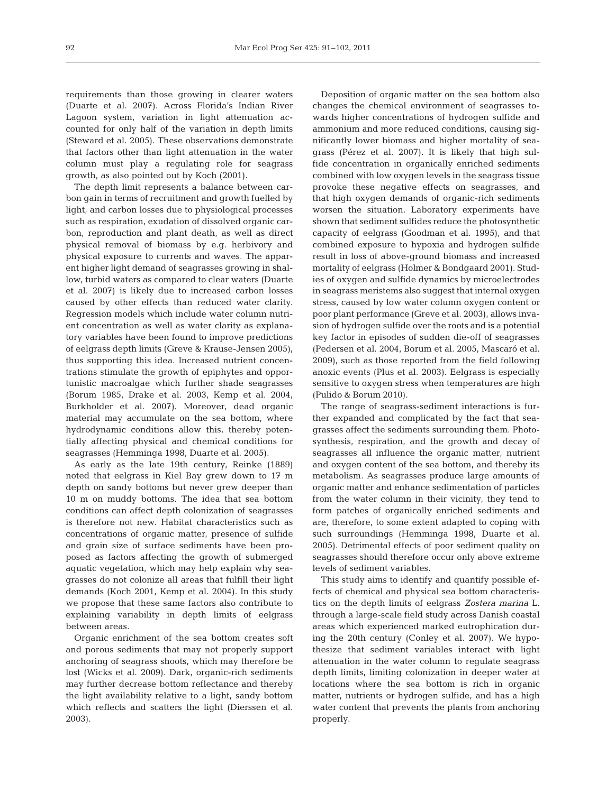requirements than those growing in clearer waters (Duarte et al. 2007). Across Florida's Indian River Lagoon system, variation in light attenuation accounted for only half of the variation in depth limits (Steward et al. 2005). These observations demonstrate that factors other than light attenuation in the water column must play a regulating role for seagrass growth, as also pointed out by Koch (2001).

The depth limit represents a balance between carbon gain in terms of recruitment and growth fuelled by light, and carbon losses due to physiological processes such as respiration, exudation of dissolved organic carbon, reproduction and plant death, as well as direct physical removal of biomass by e.g. herbivory and physical exposure to currents and waves. The apparent higher light demand of seagrasses growing in shallow, turbid waters as compared to clear waters (Duarte et al. 2007) is likely due to increased carbon losses caused by other effects than reduced water clarity. Regression models which include water column nutrient concentration as well as water clarity as explanatory variables have been found to improve predictions of eelgrass depth limits (Greve & Krause-Jensen 2005), thus supporting this idea. Increased nutrient concentrations stimulate the growth of epiphytes and opportunistic macroalgae which further shade seagrasses (Borum 1985, Drake et al. 2003, Kemp et al. 2004, Burkholder et al. 2007). Moreover, dead organic material may accumulate on the sea bottom, where hydrodynamic conditions allow this, thereby potentially affecting physical and chemical conditions for seagrasses (Hemminga 1998, Duarte et al. 2005).

As early as the late 19th century, Reinke (1889) noted that eelgrass in Kiel Bay grew down to 17 m depth on sandy bottoms but never grew deeper than 10 m on muddy bottoms. The idea that sea bottom conditions can affect depth colonization of seagrasses is therefore not new. Habitat characteristics such as concentrations of organic matter, presence of sulfide and grain size of surface sediments have been proposed as factors affecting the growth of submerged aquatic vegetation, which may help explain why seagrasses do not colonize all areas that fulfill their light demands (Koch 2001, Kemp et al. 2004). In this study we propose that these same factors also contribute to explaining variability in depth limits of eelgrass between areas.

Organic enrichment of the sea bottom creates soft and porous sediments that may not properly support anchoring of seagrass shoots, which may therefore be lost (Wicks et al. 2009). Dark, organic-rich sediments may further decrease bottom reflectance and thereby the light availability relative to a light, sandy bottom which reflects and scatters the light (Dierssen et al. 2003).

Deposition of organic matter on the sea bottom also changes the chemical environment of seagrasses towards higher concentrations of hydrogen sulfide and ammonium and more reduced conditions, causing significantly lower biomass and higher mortality of seagrass (Pérez et al. 2007). It is likely that high sulfide concentration in organically enriched sediments combined with low oxygen levels in the seagrass tissue provoke these negative effects on seagrasses, and that high oxygen demands of organic-rich sediments worsen the situation. Laboratory experiments have shown that sediment sulfides reduce the photosynthetic capacity of eelgrass (Goodman et al. 1995), and that combined exposure to hypoxia and hydrogen sulfide result in loss of above-ground biomass and increased mortality of eelgrass (Holmer & Bondgaard 2001). Studies of oxygen and sulfide dynamics by microelectrodes in seagrass meristems also suggest that internal oxygen stress, caused by low water column oxygen content or poor plant performance (Greve et al. 2003), allows invasion of hydrogen sulfide over the roots and is a potential key factor in episodes of sudden die-off of seagrasses (Pedersen et al. 2004, Borum et al. 2005, Mascaró et al. 2009), such as those reported from the field following anoxic events (Plus et al. 2003). Eelgrass is especially sensitive to oxygen stress when temperatures are high (Pulido & Borum 2010).

The range of seagrass-sediment interactions is further expanded and complicated by the fact that seagrasses affect the sediments surrounding them. Photosynthesis, respiration, and the growth and decay of seagrasses all influence the organic matter, nutrient and oxygen content of the sea bottom, and thereby its metabolism. As seagrasses produce large amounts of organic matter and enhance sedimentation of particles from the water column in their vicinity, they tend to form patches of organically enriched sediments and are, therefore, to some extent adapted to coping with such surroundings (Hemminga 1998, Duarte et al. 2005). Detrimental effects of poor sediment quality on seagrasses should therefore occur only above extreme levels of sediment variables.

This study aims to identify and quantify possible effects of chemical and physical sea bottom characteristics on the depth limits of eelgrass *Zostera marina* L. through a large-scale field study across Danish coastal areas which experienced marked eutrophication during the 20th century (Conley et al. 2007). We hypothesize that sediment variables interact with light attenuation in the water column to regulate seagrass depth limits, limiting colonization in deeper water at locations where the sea bottom is rich in organic matter, nutrients or hydrogen sulfide, and has a high water content that prevents the plants from anchoring properly.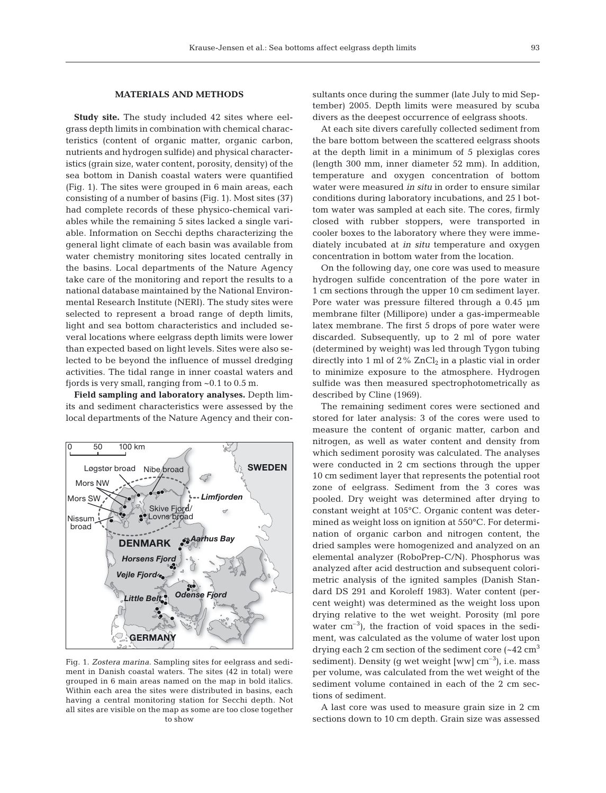### **MATERIALS AND METHODS**

**Study site.** The study included 42 sites where eelgrass depth limits in combination with chemical characteristics (content of organic matter, organic carbon, nutrients and hydrogen sulfide) and physical characteristics (grain size, water content, porosity, density) of the sea bottom in Danish coastal waters were quantified (Fig. 1). The sites were grouped in 6 main areas, each consisting of a number of basins (Fig. 1). Most sites (37) had complete records of these physico-chemical variables while the remaining 5 sites lacked a single variable. Information on Secchi depths characterizing the general light climate of each basin was available from water chemistry monitoring sites located centrally in the basins. Local departments of the Nature Agency take care of the monitoring and report the results to a national database maintained by the National Environmental Research Institute (NERI). The study sites were selected to represent a broad range of depth limits, light and sea bottom characteristics and included several locations where eelgrass depth limits were lower than expected based on light levels. Sites were also selected to be beyond the influence of mussel dredging activities. The tidal range in inner coastal waters and fjords is very small, ranging from ~0.1 to 0.5 m.

**Field sampling and laboratory analyses.** Depth limits and sediment characteristics were assessed by the local departments of the Nature Agency and their con-



Fig. 1. *Zostera marina*. Sampling sites for eelgrass and sediment in Danish coastal waters. The sites (42 in total) were grouped in 6 main areas named on the map in bold italics. Within each area the sites were distributed in basins, each having a central monitoring station for Secchi depth. Not all sites are visible on the map as some are too close together to show

sultants once during the summer (late July to mid September) 2005. Depth limits were measured by scuba divers as the deepest occurrence of eelgrass shoots.

At each site divers carefully collected sediment from the bare bottom between the scattered eelgrass shoots at the depth limit in a minimum of 5 plexiglas cores (length 300 mm, inner diameter 52 mm). In addition, temperature and oxygen concentration of bottom water were measured *in situ* in order to ensure similar conditions during laboratory incubations, and 25 l bottom water was sampled at each site. The cores, firmly closed with rubber stoppers, were transported in cooler boxes to the laboratory where they were immediately incubated at *in situ* temperature and oxygen concentration in bottom water from the location.

On the following day, one core was used to measure hydrogen sulfide concentration of the pore water in 1 cm sections through the upper 10 cm sediment layer. Pore water was pressure filtered through a 0.45  $\mu$ m membrane filter (Millipore) under a gas-impermeable latex membrane. The first 5 drops of pore water were discarded. Subsequently, up to 2 ml of pore water (determined by weight) was led through Tygon tubing directly into 1 ml of  $2\%$  ZnCl<sub>2</sub> in a plastic vial in order to minimize exposure to the atmosphere. Hydrogen sulfide was then measured spectrophotometrically as described by Cline (1969).

The remaining sediment cores were sectioned and stored for later analysis: 3 of the cores were used to measure the content of organic matter, carbon and nitrogen, as well as water content and density from which sediment porosity was calculated. The analyses were conducted in 2 cm sections through the upper 10 cm sediment layer that represents the potential root zone of eelgrass. Sediment from the 3 cores was pooled. Dry weight was determined after drying to constant weight at 105°C. Organic content was determined as weight loss on ignition at 550°C. For determination of organic carbon and nitrogen content, the dried samples were homogenized and analyzed on an elemental analyzer (RoboPrep-C/N). Phosphorus was analyzed after acid destruction and subsequent colorimetric analysis of the ignited samples (Danish Standard DS 291 and Koroleff 1983). Water content (percent weight) was determined as the weight loss upon drying relative to the wet weight. Porosity (ml pore water  $\text{cm}^{-3}$ ), the fraction of void spaces in the sediment, was calculated as the volume of water lost upon drying each 2 cm section of the sediment core  $(-42 \text{ cm}^3)$ sediment). Density (g wet weight  $[ww]$  cm<sup>-3</sup>), i.e. mass per volume, was calculated from the wet weight of the sediment volume contained in each of the 2 cm sections of sediment.

A last core was used to measure grain size in 2 cm sections down to 10 cm depth. Grain size was assessed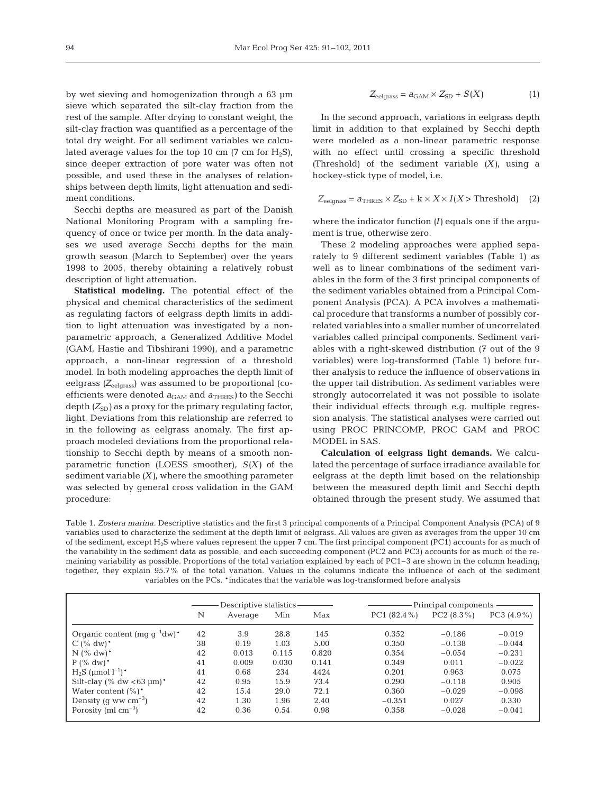by wet sieving and homogenization through a 63 µm sieve which separated the silt-clay fraction from the rest of the sample. After drying to constant weight, the silt-clay fraction was quantified as a percentage of the total dry weight. For all sediment variables we calculated average values for the top 10 cm  $(7 \text{ cm for } H_2S)$ , since deeper extraction of pore water was often not possible, and used these in the analyses of relationships between depth limits, light attenuation and sediment conditions.

Secchi depths are measured as part of the Danish National Monitoring Program with a sampling frequency of once or twice per month. In the data analyses we used average Secchi depths for the main growth season (March to September) over the years 1998 to 2005, thereby obtaining a relatively robust description of light attenuation.

**Statistical modeling.** The potential effect of the physical and chemical characteristics of the sediment as regulating factors of eelgrass depth limits in addition to light attenuation was investigated by a nonparametric approach, a Generalized Additive Model (GAM, Hastie and Tibshirani 1990), and a parametric approach, a non-linear regression of a threshold model. In both modeling approaches the depth limit of eelgrass *(Z*eelgrass) was assumed to be proportional (coefficients were denoted  $a_{GAM}$  and  $a_{THRES}$ ) to the Secchi depth  $(Z_{SD})$  as a proxy for the primary regulating factor, light. Deviations from this relationship are referred to in the following as eelgrass anomaly. The first approach modeled deviations from the proportional relationship to Secchi depth by means of a smooth nonparametric function (LOESS smoother), *S(X)* of the sediment variable *(X)*, where the smoothing parameter was selected by general cross validation in the GAM procedure:

$$
Z_{\text{eelgrass}} = a_{\text{GAM}} \times Z_{\text{SD}} + S(X) \tag{1}
$$

In the second approach, variations in eelgrass depth limit in addition to that explained by Secchi depth were modeled as a non-linear parametric response with no effect until crossing a specific threshold *(*Threshold) of the sediment variable *(X)*, using a hockey-stick type of model, i.e.

$$
Z_{\text{eelgrass}} = a_{\text{THRES}} \times Z_{\text{SD}} + \mathbf{k} \times X \times I(X > \text{Threshold}) \quad (2)
$$

where the indicator function *(I)* equals one if the argument is true, otherwise zero.

These 2 modeling approaches were applied separately to 9 different sediment variables (Table 1) as well as to linear combinations of the sediment variables in the form of the 3 first principal components of the sediment variables obtained from a Principal Component Analysis (PCA). A PCA involves a mathematical procedure that transforms a number of possibly correlated variables into a smaller number of uncorrelated variables called principal components. Sediment variables with a right-skewed distribution (7 out of the 9 variables) were log-transformed (Table 1) before further analysis to reduce the influence of observations in the upper tail distribution. As sediment variables were strongly autocorrelated it was not possible to isolate their individual effects through e.g. multiple regression analysis. The statistical analyses were carried out using PROC PRINCOMP, PROC GAM and PROC MODEL in SAS.

**Calculation of eelgrass light demands.** We calculated the percentage of surface irradiance available for eelgrass at the depth limit based on the relationship between the measured depth limit and Secchi depth obtained through the present study. We assumed that

Table 1. *Zostera marina.* Descriptive statistics and the first 3 principal components of a Principal Component Analysis (PCA) of 9 variables used to characterize the sediment at the depth limit of eelgrass. All values are given as averages from the upper 10 cm of the sediment, except H2S where values represent the upper 7 cm. The first principal component (PC1) accounts for as much of the variability in the sediment data as possible, and each succeeding component (PC2 and PC3) accounts for as much of the remaining variability as possible. Proportions of the total variation explained by each of PC1–3 are shown in the column heading; together, they explain 95.7% of the total variation. Values in the columns indicate the influence of each of the sediment variables on the PCs. \*indicates that the variable was log-transformed before analysis

|                                              | Descriptive statistics - |         |       |       | Principal components |            |               |  |
|----------------------------------------------|--------------------------|---------|-------|-------|----------------------|------------|---------------|--|
|                                              | N                        | Average | Min   | Max   | $PC1 (82.4\%)$       | PC2 (8.3%) | $PC3 (4.9\%)$ |  |
| Organic content (mg $q^{-1}dw$ )*            | 42                       | 3.9     | 28.8  | 145   | 0.352                | $-0.186$   | $-0.019$      |  |
| $C$ (% dw) <sup>*</sup>                      | 38                       | 0.19    | 1.03  | 5.00  | 0.350                | $-0.138$   | $-0.044$      |  |
| $N$ (% dw) <sup>*</sup>                      | 42                       | 0.013   | 0.115 | 0.820 | 0.354                | $-0.054$   | $-0.231$      |  |
| $P(^{\%}dw)^*$                               | 41                       | 0.009   | 0.030 | 0.141 | 0.349                | 0.011      | $-0.022$      |  |
| $H_2S$ (µmol $l^{-1}$ )*                     | 41                       | 0.68    | 234   | 4424  | 0.201                | 0.963      | 0.075         |  |
| Silt-clay $(\%$ dw <63 $\mu$ m) <sup>*</sup> | 42                       | 0.95    | 15.9  | 73.4  | 0.290                | $-0.118$   | 0.905         |  |
| Water content $(\%)^*$                       | 42                       | 15.4    | 29.0  | 72.1  | 0.360                | $-0.029$   | $-0.098$      |  |
| Density (q ww $\text{cm}^{-3}$ )             | 42                       | 1.30    | 1.96  | 2.40  | $-0.351$             | 0.027      | 0.330         |  |
| Porosity (ml $cm^{-3}$ )                     | 42                       | 0.36    | 0.54  | 0.98  | 0.358                | $-0.028$   | $-0.041$      |  |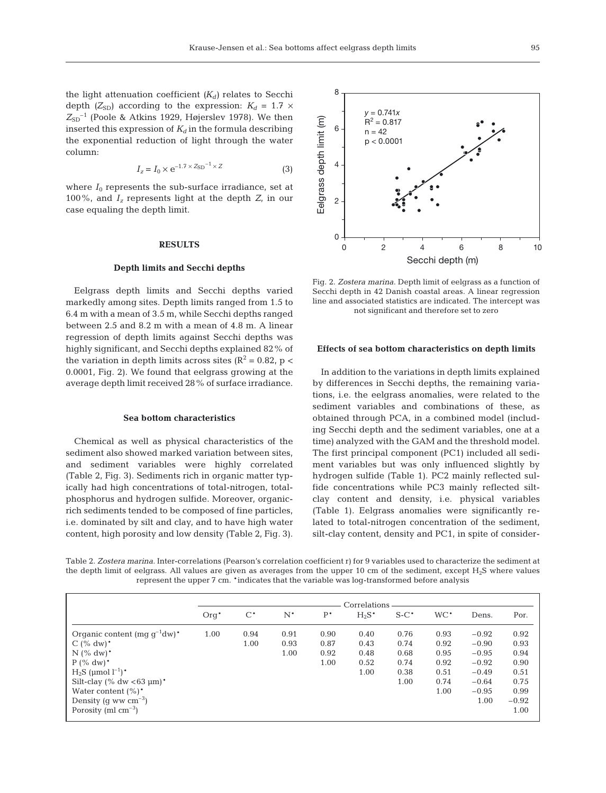the light attenuation coefficient  $(K_d)$  relates to Secchi depth  $(Z_{SD})$  according to the expression:  $K_d = 1.7 \times$  $Z_{SD}$ <sup>-1</sup> (Poole & Atkins 1929, Højerslev 1978). We then inserted this expression of  $K_d$  in the formula describing the exponential reduction of light through the water column:

$$
I_z = I_0 \times e^{-1.7 \times Z_{SD}^{-1} \times Z}
$$
 (3)

where  $I_0$  represents the sub-surface irradiance, set at 100%, and *Iz* represents light at the depth *Z*, in our case equaling the depth limit.

## **RESULTS**

## **Depth limits and Secchi depths**

Eelgrass depth limits and Secchi depths varied markedly among sites. Depth limits ranged from 1.5 to 6.4 m with a mean of 3.5 m, while Secchi depths ranged between 2.5 and 8.2 m with a mean of 4.8 m. A linear regression of depth limits against Secchi depths was highly significant, and Secchi depths explained 82% of the variation in depth limits across sites ( $\mathbb{R}^2 = 0.82$ , p < 0.0001, Fig. 2). We found that eelgrass growing at the average depth limit received 28% of surface irradiance.

#### **Sea bottom characteristics**

Chemical as well as physical characteristics of the sediment also showed marked variation between sites, and sediment variables were highly correlated (Table 2, Fig. 3). Sediments rich in organic matter typically had high concentrations of total-nitrogen, totalphosphorus and hydrogen sulfide. Moreover, organicrich sediments tended to be composed of fine particles, i.e. dominated by silt and clay, and to have high water content, high porosity and low density (Table 2, Fig. 3).



Fig. 2. *Zostera marina*. Depth limit of eelgrass as a function of Secchi depth in 42 Danish coastal areas. A linear regression line and associated statistics are indicated. The intercept was not significant and therefore set to zero

#### **Effects of sea bottom characteristics on depth limits**

In addition to the variations in depth limits explained by differences in Secchi depths, the remaining variations, i.e. the eelgrass anomalies, were related to the sediment variables and combinations of these, as obtained through PCA, in a combined model (including Secchi depth and the sediment variables, one at a time) analyzed with the GAM and the threshold model. The first principal component (PC1) included all sediment variables but was only influenced slightly by hydrogen sulfide (Table 1). PC2 mainly reflected sulfide concentrations while PC3 mainly reflected siltclay content and density, i.e. physical variables (Table 1). Eelgrass anomalies were significantly related to total-nitrogen concentration of the sediment, silt-clay content, density and PC1, in spite of consider-

Table 2. *Zostera marina.* Inter-correlations (Pearson's correlation coefficient r) for 9 variables used to characterize the sediment at the depth limit of eelgrass. All values are given as averages from the upper 10 cm of the sediment, except H<sub>2</sub>S where values represent the upper 7 cm. \*indicates that the variable was log-transformed before analysis

|                                       | Correlations |       |       |       |          |         |        |         |         |
|---------------------------------------|--------------|-------|-------|-------|----------|---------|--------|---------|---------|
|                                       | $Orq^*$      | $C^*$ | $N^*$ | $P^*$ | $H_2S^*$ | $S-C^*$ | $WC^*$ | Dens.   | Por.    |
| Organic content (mg $g^{-1}dw$ )*     | 1.00         | 0.94  | 0.91  | 0.90  | 0.40     | 0.76    | 0.93   | $-0.92$ | 0.92    |
| $C$ (% dw) <sup>*</sup>               |              | 1.00  | 0.93  | 0.87  | 0.43     | 0.74    | 0.92   | $-0.90$ | 0.93    |
| $N$ (% dw) <sup>*</sup>               |              |       | 1.00  | 0.92  | 0.48     | 0.68    | 0.95   | $-0.95$ | 0.94    |
| $P(^{\circ}\!\!/\circ \mathrm{d}w)^*$ |              |       |       | 1.00  | 0.52     | 0.74    | 0.92   | $-0.92$ | 0.90    |
| $H_2S$ (µmol $l^{-1}$ )*              |              |       |       |       | 1.00     | 0.38    | 0.51   | $-0.49$ | 0.51    |
| Silt-clay (% dw $<63 \mu m$ )*        |              |       |       |       |          | 1.00    | 0.74   | $-0.64$ | 0.75    |
| Water content $(\%)^*$                |              |       |       |       |          |         | 1.00   | $-0.95$ | 0.99    |
| Density (q ww $\text{cm}^{-3}$ )      |              |       |       |       |          |         |        | 1.00    | $-0.92$ |
| Porosity (ml $cm^{-3}$ )              |              |       |       |       |          |         |        |         | 1.00    |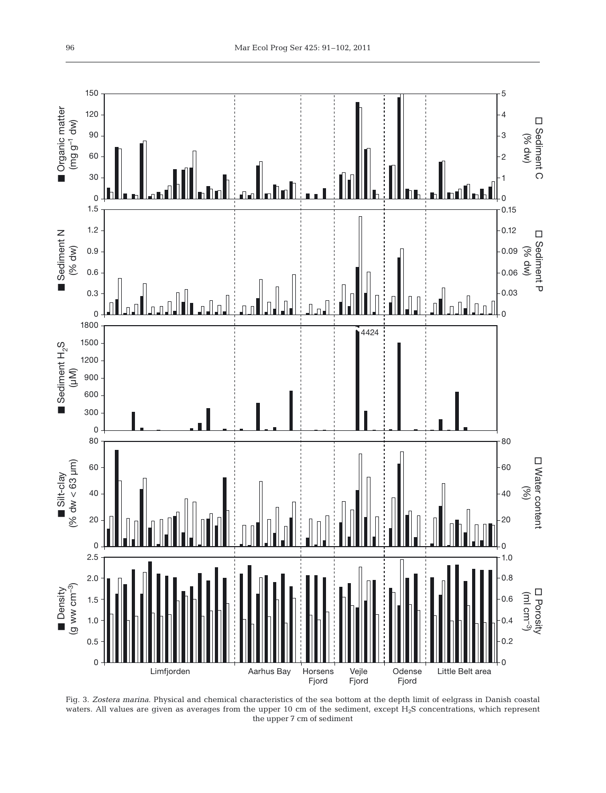

Fig. 3. *Zostera marina*. Physical and chemical characteristics of the sea bottom at the depth limit of eelgrass in Danish coastal waters. All values are given as averages from the upper 10 cm of the sediment, except  $H_2S$  concentrations, which represent the upper 7 cm of sediment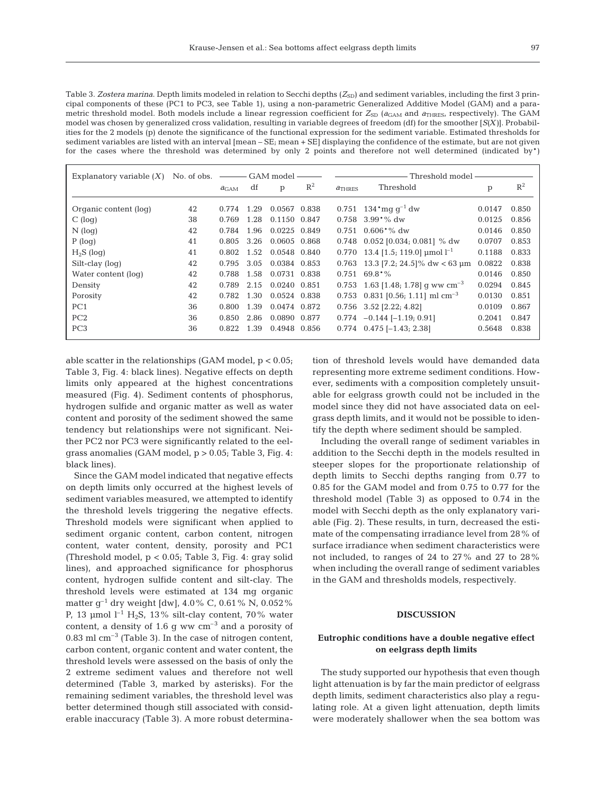Table 3. Zostera marina. Depth limits modeled in relation to Secchi depths ( $Z_{SD}$ ) and sediment variables, including the first 3 principal components of these (PC1 to PC3, see Table 1), using a non-parametric Generalized Additive Model (GAM) and a parametric threshold model. Both models include a linear regression coefficient for  $Z_{SD}$  ( $a_{GAM}$  and  $a_{THRES}$ , respectively). The GAM model was chosen by generalized cross validation, resulting in variable degrees of freedom (df) for the smoother [*S(X)*]. Probabilities for the 2 models (p) denote the significance of the functional expression for the sediment variable. Estimated thresholds for sediment variables are listed with an interval [mean – SE; mean + SE] displaying the confidence of the estimate, but are not given for the cases where the threshold was determined by only 2 points and therefore not well determined (indicated by\*)

| Explanatory variable $(X)$ | No. of obs. | -GAM model       |      |              |       |           | Threshold model -                           |        |       |  |  |
|----------------------------|-------------|------------------|------|--------------|-------|-----------|---------------------------------------------|--------|-------|--|--|
|                            |             | a <sub>GAM</sub> | df   | p            | $R^2$ | $a$ Thres | Threshold                                   | p      | $R^2$ |  |  |
| Organic content (log)      | 42          | 0.774            | 1.29 | 0.0567 0.838 |       | 0.751     | $134 \text{ mq} \text{ q}^{-1} \text{ dw}$  | 0.0147 | 0.850 |  |  |
| $C$ (log)                  | 38          | 0.769            | 1.28 | 0.1150 0.847 |       | 0.758     | $3.99^{\ast}\%$ dw                          | 0.0125 | 0.856 |  |  |
| $N$ (log)                  | 42          | 0.784            | 1.96 | 0.0225 0.849 |       | 0.751     | $0.606*%$ dw                                | 0.0146 | 0.850 |  |  |
| $P$ (log)                  | 41          | 0.805            | 3.26 | 0.0605 0.868 |       | 0.748     | $0.052$ [0.034; 0.081] % dw                 | 0.0707 | 0.853 |  |  |
| $H_2S$ (log)               | 41          | 0.802            | 1.52 | 0.0548 0.840 |       | 0.770     | 13.4 [1.5; 119.0] $\mu$ mol l <sup>-1</sup> | 0.1188 | 0.833 |  |  |
| Silt-clay (log)            | 42          | 0.795            | 3.05 | 0.0384 0.853 |       | 0.763     | 13.3 $[7.2; 24.5]$ % dw < 63 µm             | 0.0822 | 0.838 |  |  |
| Water content (log)        | 42          | 0.788            | 1.58 | 0.0731 0.838 |       | 0.751     | $69.8*%$                                    | 0.0146 | 0.850 |  |  |
| Density                    | 42          | 0.789            | 2.15 | 0.0240 0.851 |       | 0.753     | 1.63 [1.48; 1.78] q ww cm <sup>-3</sup>     | 0.0294 | 0.845 |  |  |
| Porosity                   | 42          | 0.782            | 1.30 | 0.0524 0.838 |       | 0.753     | 0.831 [0.56; 1.11] ml cm <sup>-3</sup>      | 0.0130 | 0.851 |  |  |
| PC <sub>1</sub>            | 36          | 0.800            | 1.39 | 0.0474 0.872 |       | 0.756     | $3.52$ [2.22; 4.82]                         | 0.0109 | 0.867 |  |  |
| PC2                        | 36          | 0.850            | 2.86 | 0.0890 0.877 |       | 0.774     | $-0.144$ [-1.19; 0.91]                      | 0.2041 | 0.847 |  |  |
| PC <sub>3</sub>            | 36          | 0.822            | 1.39 | 0.4948 0.856 |       |           | $0.774$ $0.475$ [-1.43; 2.38]               | 0.5648 | 0.838 |  |  |

able scatter in the relationships (GAM model,  $p < 0.05$ ; Table 3, Fig. 4: black lines). Negative effects on depth limits only appeared at the highest concentrations measured (Fig. 4). Sediment contents of phosphorus, hydrogen sulfide and organic matter as well as water content and porosity of the sediment showed the same tendency but relationships were not significant. Neither PC2 nor PC3 were significantly related to the eelgrass anomalies (GAM model, p > 0.05; Table 3, Fig. 4: black lines).

Since the GAM model indicated that negative effects on depth limits only occurred at the highest levels of sediment variables measured, we attempted to identify the threshold levels triggering the negative effects. Threshold models were significant when applied to sediment organic content, carbon content, nitrogen content, water content, density, porosity and PC1 (Threshold model, p < 0.05; Table 3, Fig. 4: gray solid lines), and approached significance for phosphorus content, hydrogen sulfide content and silt-clay. The threshold levels were estimated at 134 mg organic matter  $g^{-1}$  dry weight [dw], 4.0% C, 0.61% N, 0.052% P, 13 µmol  $l^{-1}$  H<sub>2</sub>S, 13% silt-clay content, 70% water content, a density of 1.6 g ww  $cm^{-3}$  and a porosity of  $0.83$  ml cm<sup>-3</sup> (Table 3). In the case of nitrogen content, carbon content, organic content and water content, the threshold levels were assessed on the basis of only the 2 extreme sediment values and therefore not well determined (Table 3, marked by asterisks). For the remaining sediment variables, the threshold level was better determined though still associated with considerable inaccuracy (Table 3). A more robust determination of threshold levels would have demanded data representing more extreme sediment conditions. However, sediments with a composition completely unsuitable for eelgrass growth could not be included in the model since they did not have associated data on eelgrass depth limits, and it would not be possible to identify the depth where sediment should be sampled.

Including the overall range of sediment variables in addition to the Secchi depth in the models resulted in steeper slopes for the proportionate relationship of depth limits to Secchi depths ranging from 0.77 to 0.85 for the GAM model and from 0.75 to 0.77 for the threshold model (Table 3) as opposed to 0.74 in the model with Secchi depth as the only explanatory variable (Fig. 2). These results, in turn, decreased the estimate of the compensating irradiance level from 28% of surface irradiance when sediment characteristics were not included, to ranges of 24 to 27% and 27 to 28% when including the overall range of sediment variables in the GAM and thresholds models, respectively.

## **DISCUSSION**

## **Eutrophic conditions have a double negative effect on eelgrass depth limits**

The study supported our hypothesis that even though light attenuation is by far the main predictor of eelgrass depth limits, sediment characteristics also play a regulating role. At a given light attenuation, depth limits were moderately shallower when the sea bottom was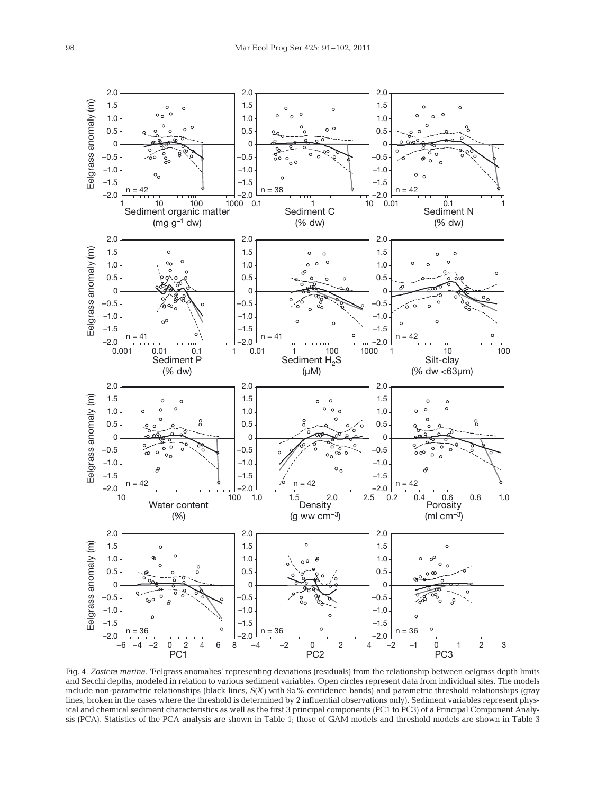

Fig. 4. *Zostera marina*. 'Eelgrass anomalies' representing deviations (residuals) from the relationship between eelgrass depth limits and Secchi depths, modeled in relation to various sediment variables. Open circles represent data from individual sites. The models include non-parametric relationships (black lines, *S(X)* with 95% confidence bands) and parametric threshold relationships (gray lines, broken in the cases where the threshold is determined by 2 influential observations only). Sediment variables represent physical and chemical sediment characteristics as well as the first 3 principal components (PC1 to PC3) of a Principal Component Analysis (PCA). Statistics of the PCA analysis are shown in Table 1; those of GAM models and threshold models are shown in Table 3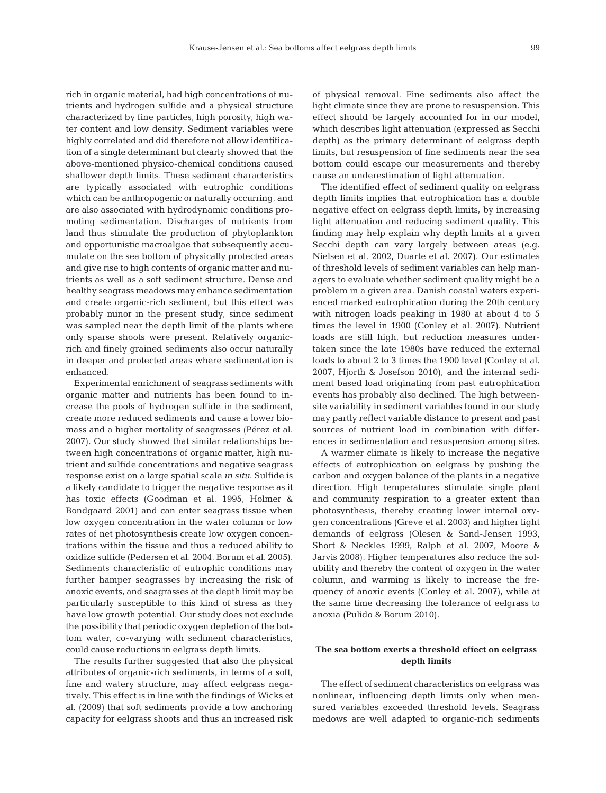rich in organic material, had high concentrations of nutrients and hydrogen sulfide and a physical structure characterized by fine particles, high porosity, high water content and low density. Sediment variables were highly correlated and did therefore not allow identification of a single determinant but clearly showed that the above-mentioned physico-chemical conditions caused shallower depth limits. These sediment characteristics are typically associated with eutrophic conditions which can be anthropogenic or naturally occurring, and are also associated with hydrodynamic conditions promoting sedimentation. Discharges of nutrients from land thus stimulate the production of phytoplankton and opportunistic macroalgae that subsequently accumulate on the sea bottom of physically protected areas and give rise to high contents of organic matter and nutrients as well as a soft sediment structure. Dense and healthy seagrass meadows may enhance sedimentation and create organic-rich sediment, but this effect was probably minor in the present study, since sediment was sampled near the depth limit of the plants where only sparse shoots were present. Relatively organicrich and finely grained sediments also occur naturally in deeper and protected areas where sedimentation is enhanced.

Experimental enrichment of seagrass sediments with organic matter and nutrients has been found to increase the pools of hydrogen sulfide in the sediment, create more reduced sediments and cause a lower biomass and a higher mortality of seagrasses (Pérez et al. 2007). Our study showed that similar relationships between high concentrations of organic matter, high nutrient and sulfide concentrations and negative seagrass response exist on a large spatial scale *in situ*. Sulfide is a likely candidate to trigger the negative response as it has toxic effects (Goodman et al. 1995, Holmer & Bondgaard 2001) and can enter seagrass tissue when low oxygen concentration in the water column or low rates of net photosynthesis create low oxygen concentrations within the tissue and thus a reduced ability to oxidize sulfide (Pedersen et al. 2004, Borum et al. 2005). Sediments characteristic of eutrophic conditions may further hamper seagrasses by increasing the risk of anoxic events, and seagrasses at the depth limit may be particularly susceptible to this kind of stress as they have low growth potential. Our study does not exclude the possibility that periodic oxygen depletion of the bottom water, co-varying with sediment characteristics, could cause reductions in eelgrass depth limits.

The results further suggested that also the physical attributes of organic-rich sediments, in terms of a soft, fine and watery structure, may affect eelgrass negatively. This effect is in line with the findings of Wicks et al. (2009) that soft sediments provide a low anchoring capacity for eelgrass shoots and thus an increased risk

of physical removal. Fine sediments also affect the light climate since they are prone to resuspension. This effect should be largely accounted for in our model, which describes light attenuation (expressed as Secchi depth) as the primary determinant of eelgrass depth limits, but resuspension of fine sediments near the sea bottom could escape our measurements and thereby cause an underestimation of light attenuation.

The identified effect of sediment quality on eelgrass depth limits implies that eutrophication has a double negative effect on eelgrass depth limits, by increasing light attenuation and reducing sediment quality. This finding may help explain why depth limits at a given Secchi depth can vary largely between areas (e.g. Nielsen et al. 2002, Duarte et al. 2007). Our estimates of threshold levels of sediment variables can help managers to evaluate whether sediment quality might be a problem in a given area. Danish coastal waters experienced marked eutrophication during the 20th century with nitrogen loads peaking in 1980 at about 4 to 5 times the level in 1900 (Conley et al. 2007). Nutrient loads are still high, but reduction measures undertaken since the late 1980s have reduced the external loads to about 2 to 3 times the 1900 level (Conley et al. 2007, Hjorth & Josefson 2010), and the internal sediment based load originating from past eutrophication events has probably also declined. The high betweensite variability in sediment variables found in our study may partly reflect variable distance to present and past sources of nutrient load in combination with differences in sedimentation and resuspension among sites.

A warmer climate is likely to increase the negative effects of eutrophication on eelgrass by pushing the carbon and oxygen balance of the plants in a negative direction. High temperatures stimulate single plant and community respiration to a greater extent than photosynthesis, thereby creating lower internal oxygen concentrations (Greve et al. 2003) and higher light demands of eelgrass (Olesen & Sand-Jensen 1993, Short & Neckles 1999, Ralph et al. 2007, Moore & Jarvis 2008). Higher temperatures also reduce the solubility and thereby the content of oxygen in the water column, and warming is likely to increase the frequency of anoxic events (Conley et al. 2007), while at the same time decreasing the tolerance of eelgrass to anoxia (Pulido & Borum 2010).

## **The sea bottom exerts a threshold effect on eelgrass depth limits**

The effect of sediment characteristics on eelgrass was nonlinear, influencing depth limits only when measured variables exceeded threshold levels. Seagrass medows are well adapted to organic-rich sediments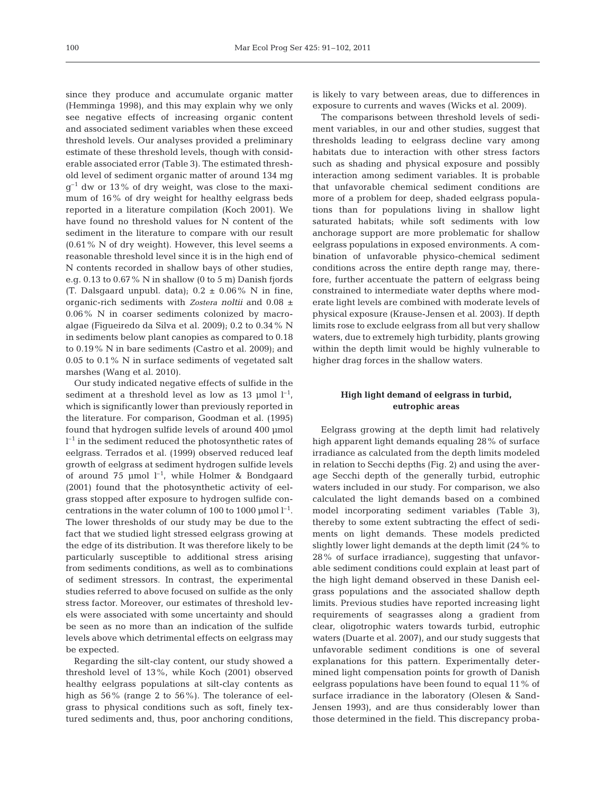since they produce and accumulate organic matter (Hemminga 1998), and this may explain why we only see negative effects of increasing organic content and associated sediment variables when these exceed threshold levels. Our analyses provided a preliminary estimate of these threshold levels, though with considerable associated error (Table 3). The estimated threshold level of sediment organic matter of around 134 mg  $g^{-1}$  dw or 13% of dry weight, was close to the maximum of 16% of dry weight for healthy eelgrass beds reported in a literature compilation (Koch 2001). We have found no threshold values for N content of the sediment in the literature to compare with our result (0.61% N of dry weight). However, this level seems a reasonable threshold level since it is in the high end of N contents recorded in shallow bays of other studies, e.g. 0.13 to 0.67% N in shallow (0 to 5 m) Danish fjords (T. Dalsgaard unpubl. data);  $0.2 \pm 0.06\%$  N in fine, organic-rich sediments with *Zostera noltii* and 0.08 ± 0.06% N in coarser sediments colonized by macroalgae (Figueiredo da Silva et al. 2009); 0.2 to 0.34% N in sediments below plant canopies as compared to 0.18 to 0.19% N in bare sediments (Castro et al. 2009); and 0.05 to 0.1% N in surface sediments of vegetated salt marshes (Wang et al. 2010).

Our study indicated negative effects of sulfide in the sediment at a threshold level as low as 13 µmol  $l^{-1}$ , which is significantly lower than previously reported in the literature. For comparison, Goodman et al. (1995) found that hydrogen sulfide levels of around 400 µmol  $l^{-1}$  in the sediment reduced the photosynthetic rates of eelgrass. Terrados et al. (1999) observed reduced leaf growth of eelgrass at sediment hydrogen sulfide levels of around 75 µmol  $l^{-1}$ , while Holmer & Bondgaard (2001) found that the photosynthetic activity of eelgrass stopped after exposure to hydrogen sulfide concentrations in the water column of 100 to 1000 µmol  $l^{-1}$ . The lower thresholds of our study may be due to the fact that we studied light stressed eelgrass growing at the edge of its distribution. It was therefore likely to be particularly susceptible to additional stress arising from sediments conditions, as well as to combinations of sediment stressors. In contrast, the experimental studies referred to above focused on sulfide as the only stress factor. Moreover, our estimates of threshold levels were associated with some uncertainty and should be seen as no more than an indication of the sulfide levels above which detrimental effects on eelgrass may be expected.

Regarding the silt-clay content, our study showed a threshold level of 13%, while Koch (2001) observed healthy eelgrass populations at silt-clay contents as high as 56% (range 2 to 56%). The tolerance of eelgrass to physical conditions such as soft, finely textured sediments and, thus, poor anchoring conditions, is likely to vary between areas, due to differences in exposure to currents and waves (Wicks et al. 2009).

The comparisons between threshold levels of sediment variables, in our and other studies, suggest that thresholds leading to eelgrass decline vary among habitats due to interaction with other stress factors such as shading and physical exposure and possibly interaction among sediment variables. It is probable that unfavorable chemical sediment conditions are more of a problem for deep, shaded eelgrass populations than for populations living in shallow light saturated habitats; while soft sediments with low anchorage support are more problematic for shallow eelgrass populations in exposed environments. A combination of unfavorable physico-chemical sediment conditions across the entire depth range may, therefore, further accentuate the pattern of eelgrass being constrained to intermediate water depths where moderate light levels are combined with moderate levels of physical exposure (Krause-Jensen et al. 2003). If depth limits rose to exclude eelgrass from all but very shallow waters, due to extremely high turbidity, plants growing within the depth limit would be highly vulnerable to higher drag forces in the shallow waters.

## **High light demand of eelgrass in turbid, eutrophic areas**

Eelgrass growing at the depth limit had relatively high apparent light demands equaling 28% of surface irradiance as calculated from the depth limits modeled in relation to Secchi depths (Fig. 2) and using the average Secchi depth of the generally turbid, eutrophic waters included in our study. For comparison, we also calculated the light demands based on a combined model incorporating sediment variables (Table 3), thereby to some extent subtracting the effect of sediments on light demands. These models predicted slightly lower light demands at the depth limit (24% to 28% of surface irradiance), suggesting that unfavorable sediment conditions could explain at least part of the high light demand observed in these Danish eelgrass populations and the associated shallow depth limits. Previous studies have reported increasing light requirements of seagrasses along a gradient from clear, oligotrophic waters towards turbid, eutrophic waters (Duarte et al. 2007), and our study suggests that unfavorable sediment conditions is one of several explanations for this pattern. Experimentally determined light compensation points for growth of Danish eelgrass populations have been found to equal 11% of surface irradiance in the laboratory (Olesen & Sand-Jensen 1993), and are thus considerably lower than those determined in the field. This discrepancy proba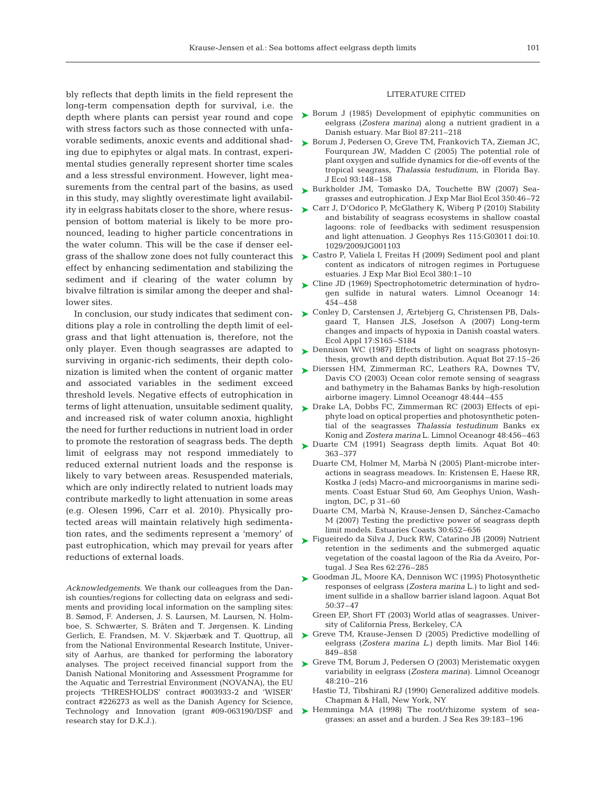bly reflects that depth limits in the field represent the long-term compensation depth for survival, i.e. the depth where plants can persist year round and cope with stress factors such as those connected with unfavorable sediments, anoxic events and additional shading due to epiphytes or algal mats. In contrast, experimental studies generally represent shorter time scales and a less stressful environment. However, light measurements from the central part of the basins, as used in this study, may slightly overestimate light availability in eelgrass habitats closer to the shore, where resuspension of bottom material is likely to be more pronounced, leading to higher particle concentrations in the water column. This will be the case if denser eelgrass of the shallow zone does not fully counteract this effect by enhancing sedimentation and stabilizing the sediment and if clearing of the water column by bivalve filtration is similar among the deeper and shallower sites.

ditions play a role in controlling the depth limit of eelgrass and that light attenuation is, therefore, not the only player. Even though seagrasses are adapted to surviving in organic-rich sediments, their depth colonization is limited when the content of organic matter and associated variables in the sediment exceed threshold levels. Negative effects of eutrophication in and increased risk of water column anoxia, highlight the need for further reductions in nutrient load in order to promote the restoration of seagrass beds. The depth limit of eelgrass may not respond immediately to reduced external nutrient loads and the response is likely to vary between areas. Resuspended materials, which are only indirectly related to nutrient loads may contribute markedly to light attenuation in some areas (e.g. Olesen 1996, Carr et al. 2010). Physically protected areas will maintain relatively high sedimentation rates, and the sediments represent a 'memory' of past eutrophication, which may prevail for years after reductions of external loads.

*Acknowledgements.* We thank our colleagues from the Danish counties/regions for collecting data on eelgrass and sediments and providing local information on the sampling sites: B. Sømod, F. Andersen, J. S. Laursen, M. Laursen, N. Holmboe, S. Schwærter, S. Bråten and T. Jørgensen. K. Linding Gerlich, E. Frandsen, M. V. Skjærbæk and T. Quottrup, all from the National Environmental Research Institute, University of Aarhus, are thanked for performing the laboratory Danish National Monitoring and Assessment Programme for the Aquatic and Terrestrial Environment (NOVANA), the EU projects 'THRESHOLDS' contract #003933-2 and 'WISER' contract #226273 as well as the Danish Agency for Science, Technology and Innovation (grant #09-063190/DSF and research stay for D.K.J.).

#### LITERATURE CITED

- ► Borum J (1985) Development of epiphytic communities on eelgrass (*Zostera marina*) along a nutrient gradient in a Danish estuary. Mar Biol 87:211–218
- ► Borum J, Pedersen O, Greve TM, Frankovich TA, Zieman JC, Fourqurean JW, Madden C (2005) The potential role of plant oxygen and sulfide dynamics for die-off events of the tropical seagrass, *Thalassia testudinum*, in Florida Bay. J Ecol 93:148–158
- ► Burkholder JM, Tomasko DA, Touchette BW (2007) Seagrasses and eutrophication. J Exp Mar Biol Ecol 350:46–72
- ► Carr J, D'Odorico P, McGlathery K, Wiberg P (2010) Stability and bistability of seagrass ecosystems in shallow coastal lagoons: role of feedbacks with sediment resuspension and light attenuation. J Geophys Res 115:G03011 doi:10. 1029/2009JG001103
- ► Castro P, Valiela I, Freitas H (2009) Sediment pool and plant content as indicators of nitrogen regimes in Portuguese estuaries. J Exp Mar Biol Ecol 380:1–10
- ► Cline JD (1969) Spectrophotometric determination of hydrogen sulfide in natural waters. Limnol Oceanogr 14: 454–458
- In conclusion, our study indicates that sediment con- $\blacktriangleright$  Conley D, Carstensen J, Ærtebjerg G, Christensen PB, Dalsgaard T, Hansen JLS, Josefson A (2007) Long-term changes and impacts of hypoxia in Danish coastal waters. Ecol Appl 17:S165–S184
	- ▶ Dennison WC (1987) Effects of light on seagrass photosynthesis, growth and depth distribution. Aquat Bot 27:15–26
	- Dierssen HM, Zimmerman RC, Leathers RA, Downes TV, ➤ Davis CO (2003) Ocean color remote sensing of seagrass and bathymetry in the Bahamas Banks by high-resolution airborne imagery. Limnol Oceanogr 48:444–455
- terms of light attenuation, unsuitable sediment quality, Drake LA, Dobbs FC, Zimmerman RC (2003) Effects of epi-➤ phyte load on optical properties and photosynthetic potential of the seagrasses *Thalassia testudinum* Banks ex Konig and *Zostera marina* L. Limnol Oceanogr 48:456–463
	- ► Duarte CM (1991) Seagrass depth limits. Aquat Bot 40: 363–377
		- Duarte CM, Holmer M, Marbà N (2005) Plant-microbe interactions in seagrass meadows. In: Kristensen E, Haese RR, Kostka J (eds) Macro-and microorganisms in marine sediments. Coast Estuar Stud 60, Am Geophys Union, Washington, DC, p 31–60
		- Duarte CM, Marbà N, Krause-Jensen D, Sánchez-Camacho M (2007) Testing the predictive power of seagrass depth limit models. Estuaries Coasts 30:652–656
	- ► Figueiredo da Silva J, Duck RW, Catarino JB (2009) Nutrient retention in the sediments and the submerged aquatic vegetation of the coastal lagoon of the Ria da Aveiro, Portugal. J Sea Res 62:276–285
	- ► Goodman JL, Moore KA, Dennison WC (1995) Photosynthetic responses of eelgrass (*Zostera marina* L.) to light and sediment sulfide in a shallow barrier island lagoon. Aquat Bot 50:37–47
		- Green EP, Short FT (2003) World atlas of seagrasses. University of California Press, Berkeley, CA
	- ▶ Greve TM, Krause-Jensen D (2005) Predictive modelling of eelgrass (*Zostera marina L*.) depth limits. Mar Biol 146: 849–858
- analyses. The project received financial support from the  $\triangleright$  Greve TM, Borum J, Pedersen O (2003) Meristematic oxygen variability in eelgrass (*Zostera marina)*. Limnol Oceanogr 48:210–216
	- Hastie TJ, Tibshirani RJ (1990) Generalized additive models. Chapman & Hall, New York, NY
	- ▶ Hemminga MA (1998) The root/rhizome system of seagrasses: an asset and a burden. J Sea Res 39:183–196